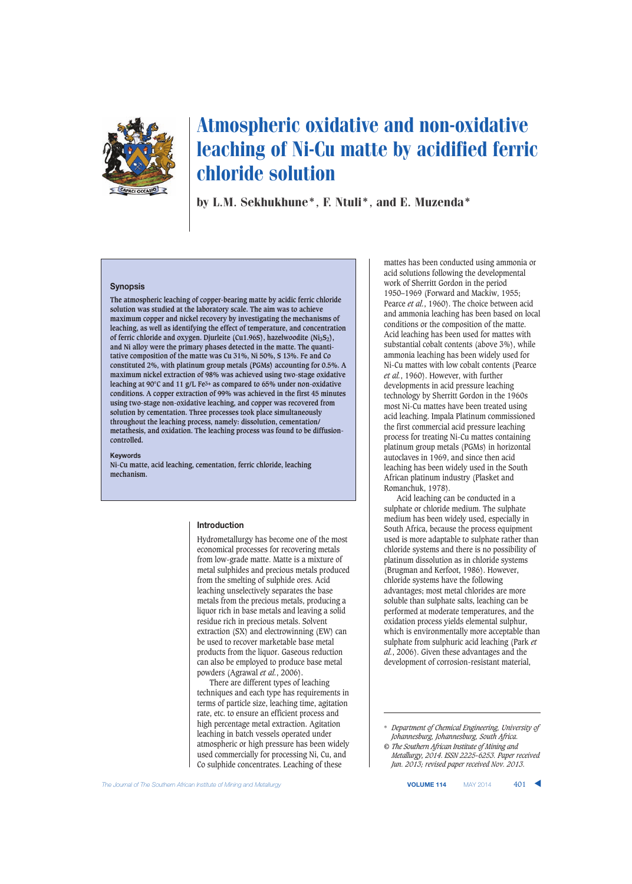

# Atmospheric oxidative and non-oxidative leaching of Ni-Cu matte by acidified ferric chloride solution

by L.M. Sekhukhune\*, F. Ntuli\*, and E. Muzenda\*

#### **Synopsis**

**The atmospheric leaching of copper-bearing matte by acidic ferric chloride solution was studied at the laboratory scale. The aim was to achieve maximum copper and nickel recovery by investigating the mechanisms of leaching, as well as identifying the effect of temperature, and concentration** of ferric chloride and oxygen. Djurleite (Cu1.96S), hazelwoodite (Ni<sub>3</sub>S<sub>2</sub>), **and Ni alloy were the primary phases detected in the matte. The quantitative composition of the matte was Cu 31%, Ni 50%, S 13%. Fe and Co constituted 2%, with platinum group metals (PGMs) accounting for 0.5%. A maximum nickel extraction of 98% was achieved using two-stage oxidative leaching at 90°C and 11 g/L Fe3+ as compared to 65% under non-oxidative conditions. A copper extraction of 99% was achieved in the first 45 minutes using two-stage non-oxidative leaching, and copper was recovered from solution by cementation. Three processes took place simultaneously throughout the leaching process, namely: dissolution, cementation/ metathesis, and oxidation. The leaching process was found to be diffusioncontrolled.**

#### **Keywords**

**Ni-Cu matte, acid leaching, cementation, ferric chloride, leaching mechanism.**

#### **Introduction**

Hydrometallurgy has become one of the most economical processes for recovering metals from low-grade matte. Matte is a mixture of metal sulphides and precious metals produced from the smelting of sulphide ores. Acid leaching unselectively separates the base metals from the precious metals, producing a liquor rich in base metals and leaving a solid residue rich in precious metals. Solvent extraction (SX) and electrowinning (EW) can be used to recover marketable base metal products from the liquor. Gaseous reduction can also be employed to produce base metal powders (Agrawal *et al.*, 2006).

There are different types of leaching techniques and each type has requirements in terms of particle size, leaching time, agitation rate, etc. to ensure an efficient process and high percentage metal extraction. Agitation leaching in batch vessels operated under atmospheric or high pressure has been widely used commercially for processing Ni, Cu, and Co sulphide concentrates. Leaching of these

mattes has been conducted using ammonia or acid solutions following the developmental work of Sherritt Gordon in the period 1950–1969 (Forward and Mackiw, 1955; Pearce *et al.*, 1960). The choice between acid and ammonia leaching has been based on local conditions or the composition of the matte. Acid leaching has been used for mattes with substantial cobalt contents (above 3%), while ammonia leaching has been widely used for Ni-Cu mattes with low cobalt contents (Pearce *et al.*, 1960). However, with further developments in acid pressure leaching technology by Sherritt Gordon in the 1960s most Ni-Cu mattes have been treated using acid leaching. Impala Platinum commissioned the first commercial acid pressure leaching process for treating Ni-Cu mattes containing platinum group metals (PGMs) in horizontal autoclaves in 1969, and since then acid leaching has been widely used in the South African platinum industry (Plasket and Romanchuk, 1978).

Acid leaching can be conducted in a sulphate or chloride medium. The sulphate medium has been widely used, especially in South Africa, because the process equipment used is more adaptable to sulphate rather than chloride systems and there is no possibility of platinum dissolution as in chloride systems (Brugman and Kerfoot, 1986). However, chloride systems have the following advantages; most metal chlorides are more soluble than sulphate salts, leaching can be performed at moderate temperatures, and the oxidation process yields elemental sulphur, which is environmentally more acceptable than sulphate from sulphuric acid leaching (Park *et al.*, 2006). Given these advantages and the development of corrosion-resistant material,

<sup>\*</sup> *Department of Chemical Engineering, University of Johannesburg, Johannesburg, South Africa.*

*<sup>©</sup> The Southern African Institute of Mining and Metallurgy, 2014. ISSN 2225-6253. Paper received Jun. 2013; revised paper received Nov. 2013.*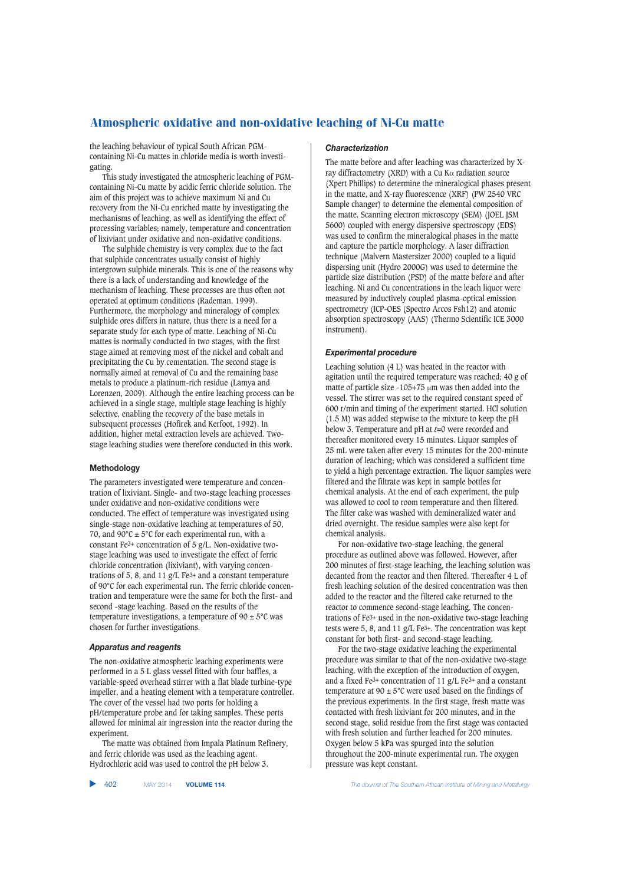the leaching behaviour of typical South African PGMcontaining Ni-Cu mattes in chloride media is worth investigating.

This study investigated the atmospheric leaching of PGMcontaining Ni-Cu matte by acidic ferric chloride solution. The aim of this project was to achieve maximum Ni and Cu recovery from the Ni-Cu enriched matte by investigating the mechanisms of leaching, as well as identifying the effect of processing variables; namely, temperature and concentration of lixiviant under oxidative and non-oxidative conditions.

The sulphide chemistry is very complex due to the fact that sulphide concentrates usually consist of highly intergrown sulphide minerals. This is one of the reasons why there is a lack of understanding and knowledge of the mechanism of leaching. These processes are thus often not operated at optimum conditions (Rademan, 1999). Furthermore, the morphology and mineralogy of complex sulphide ores differs in nature, thus there is a need for a separate study for each type of matte. Leaching of Ni-Cu mattes is normally conducted in two stages, with the first stage aimed at removing most of the nickel and cobalt and precipitating the Cu by cementation. The second stage is normally aimed at removal of Cu and the remaining base metals to produce a platinum-rich residue (Lamya and Lorenzen, 2009). Although the entire leaching process can be achieved in a single stage, multiple stage leaching is highly selective, enabling the recovery of the base metals in subsequent processes (Hofirek and Kerfoot, 1992). In addition, higher metal extraction levels are achieved. Twostage leaching studies were therefore conducted in this work.

#### **Methodology**

The parameters investigated were temperature and concentration of lixiviant. Single- and two-stage leaching processes under oxidative and non-oxidative conditions were conducted. The effect of temperature was investigated using single-stage non-oxidative leaching at temperatures of 50, 70, and  $90^{\circ}$ C ± 5°C for each experimental run, with a constant Fe3+ concentration of 5 g/L. Non-oxidative twostage leaching was used to investigate the effect of ferric chloride concentration (lixiviant), with varying concentrations of 5, 8, and 11  $g/L$  Fe<sup>3+</sup> and a constant temperature of 90°C for each experimental run. The ferric chloride concentration and temperature were the same for both the first- and second -stage leaching. Based on the results of the temperature investigations, a temperature of  $90 \pm 5^{\circ}$ C was chosen for further investigations.

#### *Apparatus and reagents*

The non-oxidative atmospheric leaching experiments were performed in a 5 L glass vessel fitted with four baffles, a variable-speed overhead stirrer with a flat blade turbine-type impeller, and a heating element with a temperature controller. The cover of the vessel had two ports for holding a pH/temperature probe and for taking samples. These ports allowed for minimal air ingression into the reactor during the experiment.

The matte was obtained from Impala Platinum Refinery, and ferric chloride was used as the leaching agent. Hydrochloric acid was used to control the pH below 3.

#### *Characterization*

The matte before and after leaching was characterized by Xray diffractometry (XRD) with a Cu K $\alpha$  radiation source (Xpert Phillips) to determine the mineralogical phases present in the matte, and X-ray fluorescence (XRF) (PW 2540 VRC Sample changer) to determine the elemental composition of the matte. Scanning electron microscopy (SEM) (JOEL JSM 5600) coupled with energy dispersive spectroscopy (EDS) was used to confirm the mineralogical phases in the matte and capture the particle morphology. A laser diffraction technique (Malvern Mastersizer 2000) coupled to a liquid dispersing unit (Hydro 2000G) was used to determine the particle size distribution (PSD) of the matte before and after leaching. Ni and Cu concentrations in the leach liquor were measured by inductively coupled plasma-optical emission spectrometry (ICP-OES (Spectro Arcos Fsh12) and atomic absorption spectroscopy (AAS) (Thermo Scientific ICE 3000 instrument).

#### *Experimental procedure*

Leaching solution (4 L) was heated in the reactor with agitation until the required temperature was reached; 40 g of matte of particle size -105+75 μm was then added into the vessel. The stirrer was set to the required constant speed of 600 r/min and timing of the experiment started. HCl solution (1.5 M) was added stepwise to the mixture to keep the pH below 3. Temperature and pH at *t*=0 were recorded and thereafter monitored every 15 minutes. Liquor samples of 25 mL were taken after every 15 minutes for the 200-minute duration of leaching; which was considered a sufficient time to yield a high percentage extraction. The liquor samples were filtered and the filtrate was kept in sample bottles for chemical analysis. At the end of each experiment, the pulp was allowed to cool to room temperature and then filtered. The filter cake was washed with demineralized water and dried overnight. The residue samples were also kept for chemical analysis.

For non-oxidative two-stage leaching, the general procedure as outlined above was followed. However, after 200 minutes of first-stage leaching, the leaching solution was decanted from the reactor and then filtered. Thereafter 4 L of fresh leaching solution of the desired concentration was then added to the reactor and the filtered cake returned to the reactor to commence second-stage leaching. The concentrations of Fe3+ used in the non-oxidative two-stage leaching tests were 5, 8, and 11 g/L Fe3+. The concentration was kept constant for both first- and second-stage leaching.

For the two-stage oxidative leaching the experimental procedure was similar to that of the non-oxidative two-stage leaching, with the exception of the introduction of oxygen, and a fixed Fe<sup>3+</sup> concentration of 11 g/L Fe<sup>3+</sup> and a constant temperature at 90  $\pm$  5°C were used based on the findings of the previous experiments. In the first stage, fresh matte was contacted with fresh lixiviant for 200 minutes, and in the second stage, solid residue from the first stage was contacted with fresh solution and further leached for 200 minutes. Oxygen below 5 kPa was spurged into the solution throughout the 200-minute experimental run. The oxygen pressure was kept constant.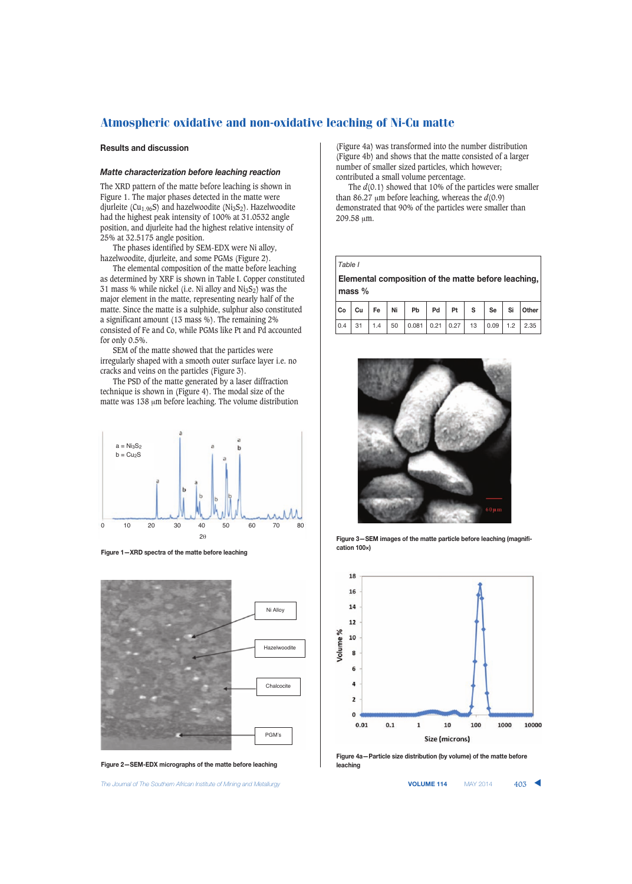## **Results and discussion**

#### *Matte characterization before leaching reaction*

The XRD pattern of the matte before leaching is shown in Figure 1. The major phases detected in the matte were djurleite (Cu<sub>1.96</sub>S) and hazelwoodite (Ni<sub>3</sub>S<sub>2</sub>). Hazelwoodite had the highest peak intensity of 100% at 31.0532 angle position, and djurleite had the highest relative intensity of 25% at 32.5175 angle position.

The phases identified by SEM-EDX were Ni alloy, hazelwoodite, djurleite, and some PGMs (Figure 2).

The elemental composition of the matte before leaching as determined by XRF is shown in Table I. Copper constituted 31 mass % while nickel (i.e. Ni alloy and  $NizS<sub>2</sub>$ ) was the major element in the matte, representing nearly half of the matte. Since the matte is a sulphide, sulphur also constituted a significant amount (13 mass %). The remaining 2% consisted of Fe and Co, while PGMs like Pt and Pd accounted for only 0.5%.

SEM of the matte showed that the particles were irregularly shaped with a smooth outer surface layer i.e. no cracks and veins on the particles (Figure 3).

The PSD of the matte generated by a laser diffraction technique is shown in (Figure 4). The modal size of the matte was 138 μm before leaching. The volume distribution



**Figure 1—XRD spectra of the matte before leaching**



**Figure 2—SEM-EDX micrographs of the matte before leaching**

The Journal of The Southern African Institute of Mining and Metallurgy **VOLUME 114** MAY 2014 **403** 

(Figure 4a) was transformed into the number distribution (Figure 4b) and shows that the matte consisted of a larger number of smaller sized particles, which however; contributed a small volume percentage.

The *d*(0.1) showed that 10% of the particles were smaller than 86.27  $\mu$ m before leaching, whereas the  $d(0.9)$ demonstrated that 90% of the particles were smaller than 209.58 μm.

*Table I* 

**Elemental composition of the matte before leaching, mass %**

|  |  | $ C_{0} $ $C_{U} $ Fe $ N_{i} $ Pb $ P_{d} $ Pt $ S $ Se $ S_{i} $ Other                                                 |  |  |  |  |  |  |
|--|--|--------------------------------------------------------------------------------------------------------------------------|--|--|--|--|--|--|
|  |  | $\vert 0.4 \vert 31 \vert 1.4 \vert 50 \vert 0.081 \vert 0.21 \vert 0.27 \vert 13 \vert 0.09 \vert 1.2 \vert 2.35 \vert$ |  |  |  |  |  |  |



**Figure 3—SEM images of the matte particle before leaching (magnification 100×)**



**Figure 4a—Particle size distribution (by volume) of the matte before leaching**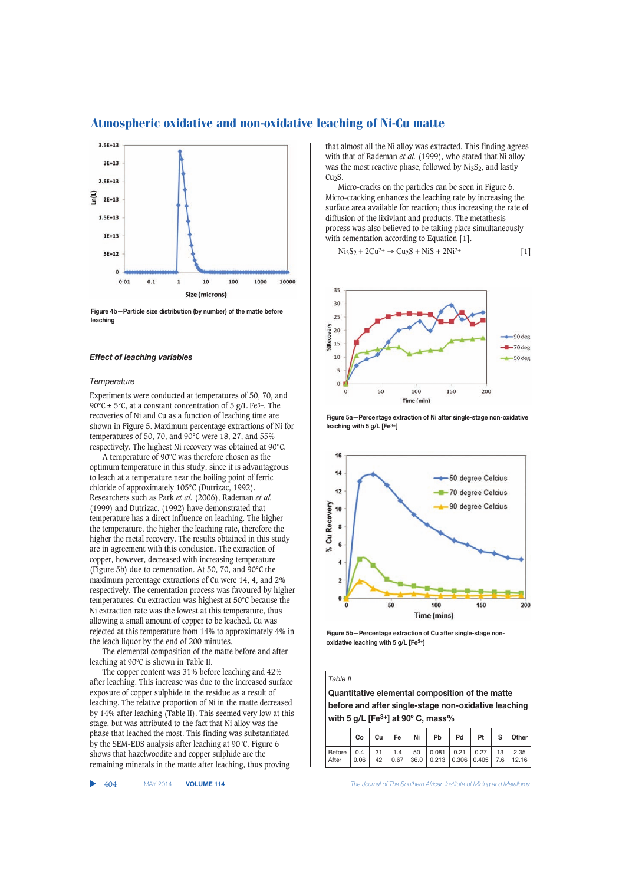

**Figure 4b—Particle size distribution (by number) of the matte before leaching**

#### *Effect of leaching variables*

#### *Temperature*

Experiments were conducted at temperatures of 50, 70, and 90 $^{\circ}$ C ± 5 $^{\circ}$ C, at a constant concentration of 5 g/L Fe<sup>3+</sup>. The recoveries of Ni and Cu as a function of leaching time are shown in Figure 5. Maximum percentage extractions of Ni for temperatures of 50, 70, and 90°C were 18, 27, and 55% respectively. The highest Ni recovery was obtained at 90°C.

A temperature of 90°C was therefore chosen as the optimum temperature in this study, since it is advantageous to leach at a temperature near the boiling point of ferric chloride of approximately 105°C (Dutrizac, 1992). Researchers such as Park *et al.* (2006), Rademan *et al.* (1999) and Dutrizac. (1992) have demonstrated that temperature has a direct influence on leaching. The higher the temperature, the higher the leaching rate, therefore the higher the metal recovery. The results obtained in this study are in agreement with this conclusion. The extraction of copper, however, decreased with increasing temperature (Figure 5b) due to cementation. At 50, 70, and 90°C the maximum percentage extractions of Cu were 14, 4, and 2% respectively. The cementation process was favoured by higher temperatures. Cu extraction was highest at 50°C because the Ni extraction rate was the lowest at this temperature, thus allowing a small amount of copper to be leached. Cu was rejected at this temperature from 14% to approximately 4% in the leach liquor by the end of 200 minutes.

The elemental composition of the matte before and after leaching at 90ºC is shown in Table II.

The copper content was 31% before leaching and 42% after leaching. This increase was due to the increased surface exposure of copper sulphide in the residue as a result of leaching. The relative proportion of Ni in the matte decreased by 14% after leaching (Table II). This seemed very low at this stage, but was attributed to the fact that Ni alloy was the phase that leached the most. This finding was substantiated by the SEM-EDS analysis after leaching at 90°C. Figure 6 shows that hazelwoodite and copper sulphide are the remaining minerals in the matte after leaching, thus proving

▲

that almost all the Ni alloy was extracted. This finding agrees with that of Rademan *et al.* (1999), who stated that Ni alloy was the most reactive phase, followed by  $Ni<sub>3</sub>S<sub>2</sub>$ , and lastly Cu<sub>2</sub>S.

Micro-cracks on the particles can be seen in Figure 6. Micro-cracking enhances the leaching rate by increasing the surface area available for reaction; thus increasing the rate of diffusion of the lixiviant and products. The metathesis process was also believed to be taking place simultaneously with cementation according to Equation [1].

$$
Ni3S2 + 2Cu2+ \rightarrow Cu2S + NiS + 2Ni2+
$$
 [1]



**Figure 5a—Percentage extraction of Ni after single-stage non-oxidative leaching with 5 g/L [Fe3+]**



**Figure 5b—Percentage extraction of Cu after single-stage nonoxidative leaching with 5 g/L [Fe3+]**

*Table II*  **Quantitative elemental composition of the matte before and after single-stage non-oxidative leaching with 5 g/L [Fe3+] at 90º C, mass% Co Cu Fe Ni Pb Pd Pt S Other**  Before | 0.4 | 31 | 1.4 | 50 | 0.081 | 0.21 | 0.27 | 13 | 2.35 After | 0.06 | 42 | 0.67 | 36.0 | 0.213 | 0.306 | 0.405 | 7.6 | 12.16

404 MAY 2014 **VOLUME 114** *The Journal of The Southern African Institute of Mining and Metallurgy*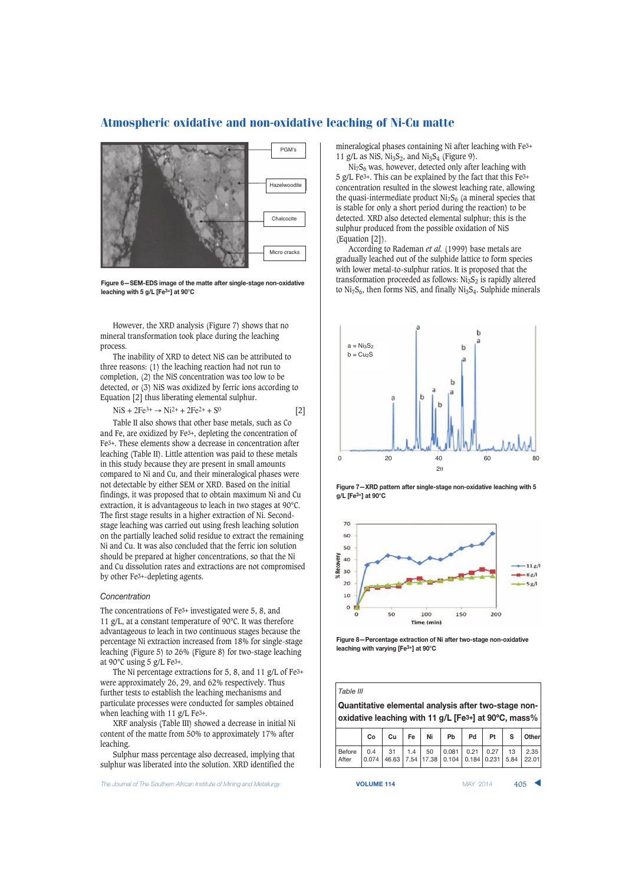

**Figure 6—SEM-EDS image of the matte after single-stage non-oxidative leaching with 5 g/L [Fe3+] at 90°C**

However, the XRD analysis (Figure 7) shows that no mineral transformation took place during the leaching process.

The inability of XRD to detect NiS can be attributed to three reasons: (1) the leaching reaction had not run to completion, (2) the NiS concentration was too low to be detected, or (3) NiS was oxidized by ferric ions according to Equation [2] thus liberating elemental sulphur.

 $NiS + 2Fe^{3+} \rightarrow Ni^{2+} + 2Fe^{2+} + S^0$  [2]

Table II also shows that other base metals, such as Co and Fe, are oxidized by Fe3+, depleting the concentration of Fe3+. These elements show a decrease in concentration after leaching (Table II). Little attention was paid to these metals in this study because they are present in small amounts compared to Ni and Cu, and their mineralogical phases were not detectable by either SEM or XRD. Based on the initial findings, it was proposed that to obtain maximum Ni and Cu extraction, it is advantageous to leach in two stages at 90°C. The first stage results in a higher extraction of Ni. Secondstage leaching was carried out using fresh leaching solution on the partially leached solid residue to extract the remaining Ni and Cu. It was also concluded that the ferric ion solution should be prepared at higher concentrations, so that the Ni and Cu dissolution rates and extractions are not compromised by other Fe3+-depleting agents.

#### *Concentration*

The concentrations of Fe3+ investigated were 5, 8, and 11 g/L, at a constant temperature of 90°C. It was therefore advantageous to leach in two continuous stages because the percentage Ni extraction increased from 18% for single-stage leaching (Figure 5) to 26% (Figure 8) for two-stage leaching at 90°C using 5 g/L Fe3+.

The Ni percentage extractions for 5, 8, and 11 g/L of Fe3+ were approximately 26, 29, and 62% respectively. Thus further tests to establish the leaching mechanisms and particulate processes were conducted for samples obtained when leaching with 11 g/L Fe3+.

XRF analysis (Table III) showed a decrease in initial Ni content of the matte from 50% to approximately 17% after leaching.

Sulphur mass percentage also decreased, implying that sulphur was liberated into the solution. XRD identified the

**The Journal of The Southern African Institute of Mining and Metallurgy <b>VOLUME 114 VOLUME 114** MAY 2014 **405** 

mineralogical phases containing Ni after leaching with Fe3+ 11 g/L as NiS,  $Ni<sub>3</sub>S<sub>2</sub>$ , and  $Ni<sub>3</sub>S<sub>4</sub>$  (Figure 9).

 $Ni<sub>7</sub>S<sub>6</sub>$  was, however, detected only after leaching with 5 g/L Fe3+. This can be explained by the fact that this Fe3+ concentration resulted in the slowest leaching rate, allowing the quasi-intermediate product  $NizS<sub>6</sub>$  (a mineral species that is stable for only a short period during the reaction) to be detected. XRD also detected elemental sulphur; this is the sulphur produced from the possible oxidation of NiS (Equation [2]).

According to Rademan *et al.* (1999) base metals are gradually leached out of the sulphide lattice to form species with lower metal-to-sulphur ratios. It is proposed that the transformation proceeded as follows:  $Ni<sub>3</sub>S<sub>2</sub>$  is rapidly altered to  $Ni<sub>7</sub>S<sub>6</sub>$ , then forms NiS, and finally  $Ni<sub>3</sub>S<sub>4</sub>$ . Sulphide minerals







**Figure 8—Percentage extraction of Ni after two-stage non-oxidative leaching with varying [Fe3+] at 90°C**

|                                                                   | Table III                                            |             |     |                  |                |               |               |            |               |  |  |
|-------------------------------------------------------------------|------------------------------------------------------|-------------|-----|------------------|----------------|---------------|---------------|------------|---------------|--|--|
|                                                                   | Quantitative elemental analysis after two-stage non- |             |     |                  |                |               |               |            |               |  |  |
| oxidative leaching with 11 g/L [Fe <sup>3+</sup> ] at 90°C, mass% |                                                      |             |     |                  |                |               |               |            |               |  |  |
| Cu<br>Co                                                          |                                                      |             | Fe  | Ni               | <b>Pb</b>      | Pd            | Pt            | s          | Other         |  |  |
| Before<br>After                                                   | 0.4<br>0.074                                         | 31<br>46.63 | 1.4 | 50<br>7.54 17.38 | 0.081<br>0.104 | 0.21<br>0.184 | 0.27<br>0.231 | 13<br>5.84 | 2.35<br>22.01 |  |  |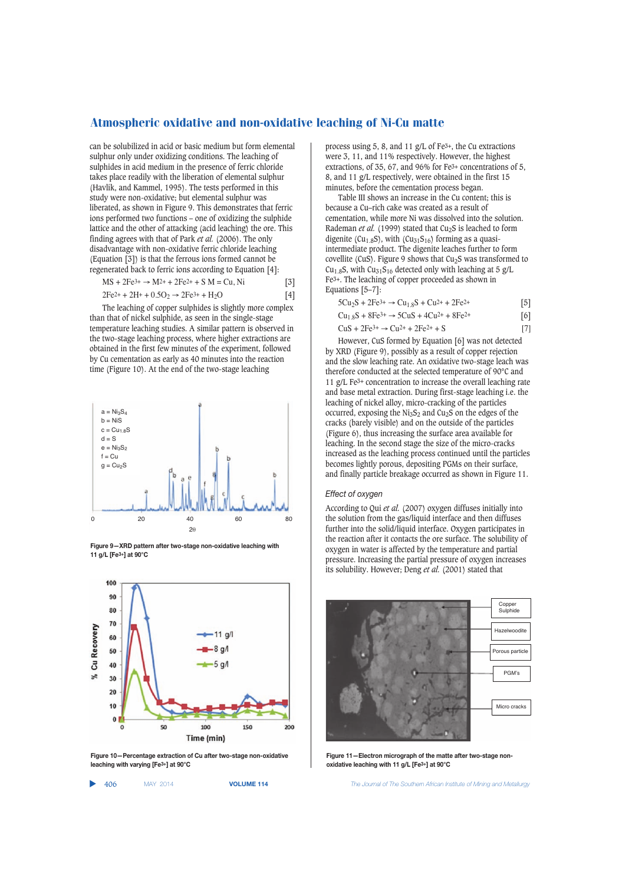can be solubilized in acid or basic medium but form elemental sulphur only under oxidizing conditions. The leaching of sulphides in acid medium in the presence of ferric chloride takes place readily with the liberation of elemental sulphur (Havlík, and Kammel, 1995). The tests performed in this study were non-oxidative; but elemental sulphur was liberated, as shown in Figure 9. This demonstrates that ferric ions performed two functions – one of oxidizing the sulphide lattice and the other of attacking (acid leaching) the ore. This finding agrees with that of Park *et al.* (2006). The only disadvantage with non-oxidative ferric chloride leaching (Equation [3]) is that the ferrous ions formed cannot be regenerated back to ferric ions according to Equation [4]:

$$
MS + 2Fe^{3+} \to M^{2+} + 2Fe^{2+} + S M = Cu, Ni
$$
 [3]

$$
2Fe^{2+} + 2H^{+} + 0.5O_2 \rightarrow 2Fe^{3+} + H_2O
$$
 [4]

The leaching of copper sulphides is slightly more complex than that of nickel sulphide, as seen in the single-stage temperature leaching studies. A similar pattern is observed in the two-stage leaching process, where higher extractions are obtained in the first few minutes of the experiment, followed by Cu cementation as early as 40 minutes into the reaction time (Figure 10). At the end of the two-stage leaching







**Figure 10—Percentage extraction of Cu after two-stage non-oxidative leaching with varying [Fe3+] at 90°C**

▲ 406 MAY 2014 **VOLUME 114** *The Journal of The Southern African Institute of Mining and Metallurgy*

process using 5, 8, and 11 g/L of Fe3+, the Cu extractions were 3, 11, and 11% respectively. However, the highest extractions, of 35, 67, and 96% for Fe3+ concentrations of 5, 8, and 11 g/L respectively, were obtained in the first 15 minutes, before the cementation process began.

Table III shows an increase in the Cu content; this is because a Cu–rich cake was created as a result of cementation, while more Ni was dissolved into the solution. Rademan *et al.* (1999) stated that Cu<sub>2</sub>S is leached to form digenite (Cu<sub>1.8</sub>S), with (Cu<sub>31</sub>S<sub>16</sub>) forming as a quasiintermediate product. The digenite leaches further to form covellite (CuS). Figure 9 shows that  $Cu<sub>2</sub>S$  was transformed to Cu<sub>1.8</sub>S, with Cu<sub>31</sub>S<sub>16</sub> detected only with leaching at 5 g/L Fe3+. The leaching of copper proceeded as shown in Equations  $[5-7]$ :

| $5Cu_2S + 2Fe^{3+} \rightarrow Cu_{1.8}S + Cu^{2+} + 2Fe^{2+}$ | $\vert 5 \vert$ |
|----------------------------------------------------------------|-----------------|
| $Cu1.8S + 8Fe3+ \rightarrow 5CuS + 4Cu2+ + 8Fe2+$              | $\vert 6 \vert$ |
| $CuS + 2Fe3+ \rightarrow Cu2+ + 2Fe2+ + S$                     | - 17 L          |

However, CuS formed by Equation [6] was not detected by XRD (Figure 9), possibly as a result of copper rejection and the slow leaching rate. An oxidative two-stage leach was therefore conducted at the selected temperature of 90°C and 11 g/L Fe3+ concentration to increase the overall leaching rate and base metal extraction. During first-stage leaching i.e. the leaching of nickel alloy, micro-cracking of the particles occurred, exposing the  $Ni<sub>3</sub>S<sub>2</sub>$  and Cu<sub>2</sub>S on the edges of the cracks (barely visible) and on the outside of the particles (Figure 6), thus increasing the surface area available for leaching. In the second stage the size of the micro-cracks increased as the leaching process continued until the particles becomes lightly porous, depositing PGMs on their surface, and finally particle breakage occurred as shown in Figure 11.

#### *Effect of oxygen*

According to Qui *et al.* (2007) oxygen diffuses initially into the solution from the gas/liquid interface and then diffuses further into the solid/liquid interface. Oxygen participates in the reaction after it contacts the ore surface. The solubility of oxygen in water is affected by the temperature and partial pressure. Increasing the partial pressure of oxygen increases its solubility. However; Deng *et al.* (2001) stated that



**Figure 11—Electron micrograph of the matte after two-stage nonoxidative leaching with 11 g/L [Fe3+] at 90°C**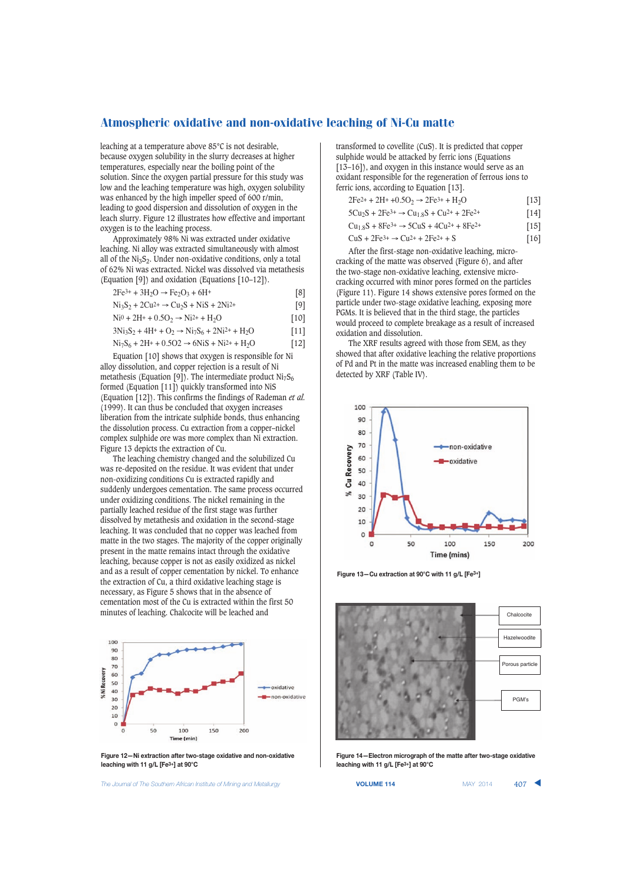leaching at a temperature above 85°C is not desirable, because oxygen solubility in the slurry decreases at higher temperatures, especially near the boiling point of the solution. Since the oxygen partial pressure for this study was low and the leaching temperature was high, oxygen solubility was enhanced by the high impeller speed of 600 r/min, leading to good dispersion and dissolution of oxygen in the leach slurry. Figure 12 illustrates how effective and important oxygen is to the leaching process.

Approximately 98% Ni was extracted under oxidative leaching. Ni alloy was extracted simultaneously with almost all of the  $Ni<sub>3</sub>S<sub>2</sub>$ . Under non-oxidative conditions, only a total of 62% Ni was extracted. Nickel was dissolved via metathesis (Equation [9]) and oxidation (Equations [10–12]).

$$
2Fe^{3+} + 3H_2O \rightarrow Fe_2O_3 + 6H^+
$$
  
\n
$$
Ni_3S_2 + 2Cu^{2+} \rightarrow Cu_2S + NiS + 2Ni^{2+}
$$
 [9]

$$
Ni^{0} + 2H^{+} + 0.5O_{2} \rightarrow Ni^{2+} + H_{2}O
$$
 [10]

$$
3Ni3S2 + 4H+ + O2 \rightarrow Ni7S6 + 2Ni2+ + H2O
$$
 [11]

$$
Ni_7S_6 + 2H + 0.5O2 \rightarrow 6NiS + Ni^{2+} + H_2O
$$
 [12]

Equation [10] shows that oxygen is responsible for Ni alloy dissolution, and copper rejection is a result of Ni metathesis (Equation [9]). The intermediate product  $Ni<sub>7</sub>S<sub>6</sub>$ formed (Equation [11]) quickly transformed into NiS (Equation [12]). This confirms the findings of Rademan *et al.* (1999). It can thus be concluded that oxygen increases liberation from the intricate sulphide bonds, thus enhancing the dissolution process. Cu extraction from a copper–nickel complex sulphide ore was more complex than Ni extraction. Figure 13 depicts the extraction of Cu.

The leaching chemistry changed and the solubilized Cu was re-deposited on the residue. It was evident that under non-oxidizing conditions Cu is extracted rapidly and suddenly undergoes cementation. The same process occurred under oxidizing conditions. The nickel remaining in the partially leached residue of the first stage was further dissolved by metathesis and oxidation in the second-stage leaching. It was concluded that no copper was leached from matte in the two stages. The majority of the copper originally present in the matte remains intact through the oxidative leaching, because copper is not as easily oxidized as nickel and as a result of copper cementation by nickel. To enhance the extraction of Cu, a third oxidative leaching stage is necessary, as Figure 5 shows that in the absence of cementation most of the Cu is extracted within the first 50 minutes of leaching. Chalcocite will be leached and



**Figure 12—Ni extraction after two-stage oxidative and non-oxidative leaching with 11 g/L [Fe3+] at 90°C**

**The Journal of The Southern African Institute of Mining and Metallurgy <b>VOLUME 114 VOLUME 114 MAY 2014 407** 

transformed to covellite (CuS). It is predicted that copper sulphide would be attacked by ferric ions (Equations [13–16]), and oxygen in this instance would serve as an oxidant responsible for the regeneration of ferrous ions to ferric ions, according to Equation [13].

$$
2Fe^{2+} + 2H^{+} + 0.5O_2 \rightarrow 2Fe^{3+} + H_2O
$$
 [13]

$$
5Cu_2S + 2Fe^{3+} \rightarrow Cu_{1.8}S + Cu^{2+} + 2Fe^{2+}
$$
 [14]

$$
Cu1.8S + 8Fe3+ \to 5CuS + 4Cu2+ + 8Fe2+
$$
 [15]

$$
\text{CuS} + 2\text{Fe}^{3+} \rightarrow \text{Cu}^{2+} + 2\text{Fe}^{2+} + \text{S}
$$
 [16]

After the first-stage non-oxidative leaching, microcracking of the matte was observed (Figure 6), and after the two-stage non-oxidative leaching, extensive microcracking occurred with minor pores formed on the particles (Figure 11). Figure 14 shows extensive pores formed on the particle under two-stage oxidative leaching, exposing more PGMs. It is believed that in the third stage, the particles would proceed to complete breakage as a result of increased oxidation and dissolution.

The XRF results agreed with those from SEM, as they showed that after oxidative leaching the relative proportions of Pd and Pt in the matte was increased enabling them to be detected by XRF (Table IV).



**Figure 13—Cu extraction at 90°C with 11 g/L [Fe3+]**



**Figure 14—Electron micrograph of the matte after two-stage oxidative leaching with 11 g/L [Fe3+] at 90°C**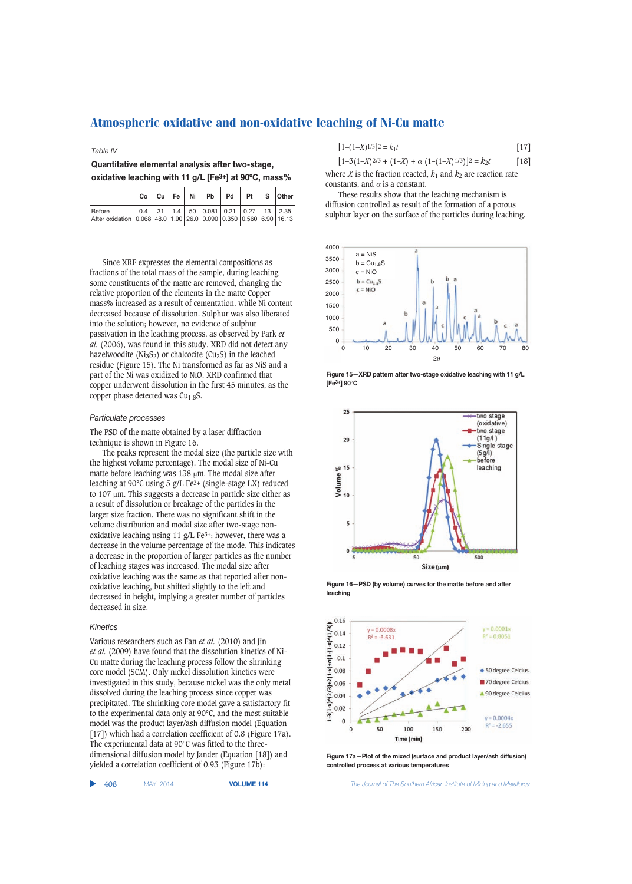*Table IV*

**Quantitative elemental analysis after two-stage, oxidative leaching with 11 g/L [Fe3+] at 90ºC, mass%**

|                                                                             | $\frac{1}{2}$ and $\frac{1}{2}$ and $\frac{1}{2}$ and $\frac{1}{2}$ are $\frac{1}{2}$ and $\frac{1}{2}$ are $\frac{1}{2}$ and $\frac{1}{2}$ and $\frac{1}{2}$ |  |  |                                                       |  |  |  |  |
|-----------------------------------------------------------------------------|---------------------------------------------------------------------------------------------------------------------------------------------------------------|--|--|-------------------------------------------------------|--|--|--|--|
|                                                                             |                                                                                                                                                               |  |  | $Co$ $Cu$ $Fe$ $Ni$ $Pb$ $Pd$ $Pt$ $S$ $Other$        |  |  |  |  |
| Before<br>After oxidation 0.068 48.0 1.90 26.0 0.090 0.350 0.560 6.90 16.13 |                                                                                                                                                               |  |  | 0.4   31   1.4   50   0.081   0.21   0.27   13   2.35 |  |  |  |  |

Since XRF expresses the elemental compositions as fractions of the total mass of the sample, during leaching some constituents of the matte are removed, changing the relative proportion of the elements in the matte Copper mass% increased as a result of cementation, while Ni content decreased because of dissolution. Sulphur was also liberated into the solution; however, no evidence of sulphur passivation in the leaching process, as observed by Park *et al.* (2006), was found in this study. XRD did not detect any hazelwoodite ( $Ni<sub>3</sub>S<sub>2</sub>$ ) or chalcocite ( $Cu<sub>2</sub>S$ ) in the leached residue (Figure 15). The Ni transformed as far as NiS and a part of the Ni was oxidized to NiO. XRD confirmed that copper underwent dissolution in the first 45 minutes, as the copper phase detected was  $Cu<sub>1.8</sub>S$ .

#### *Particulate processes*

The PSD of the matte obtained by a laser diffraction technique is shown in Figure 16.

The peaks represent the modal size (the particle size with the highest volume percentage). The modal size of Ni-Cu matte before leaching was 138 μm. The modal size after leaching at 90°C using 5 g/L Fe3+ (single-stage LX) reduced to 107 μm. This suggests a decrease in particle size either as a result of dissolution or breakage of the particles in the larger size fraction. There was no significant shift in the volume distribution and modal size after two-stage nonoxidative leaching using 11 g/L Fe3+; however, there was a decrease in the volume percentage of the mode. This indicates a decrease in the proportion of larger particles as the number of leaching stages was increased. The modal size after oxidative leaching was the same as that reported after nonoxidative leaching, but shifted slightly to the left and decreased in height, implying a greater number of particles decreased in size.

#### *Kinetics*

Various researchers such as Fan *et al.* (2010) and Jin *et al.* (2009) have found that the dissolution kinetics of Ni-Cu matte during the leaching process follow the shrinking core model (SCM). Only nickel dissolution kinetics were investigated in this study, because nickel was the only metal dissolved during the leaching process since copper was precipitated. The shrinking core model gave a satisfactory fit to the experimental data only at 90°C, and the most suitable model was the product layer/ash diffusion model (Equation [17]) which had a correlation coefficient of 0.8 (Figure 17a). The experimental data at 90°C was fitted to the threedimensional diffusion model by Jander (Equation [18]) and yielded a correlation coefficient of 0.93 (Figure 17b):

$$
[1-(-1)(1-1)]^2 = k_1 t
$$
 [17]

 $[1-3(1-X)^{2/3} + (1-X) + \alpha (1-(1-X)^{1/3})]^2 = k_2t$  [18] where *X* is the fraction reacted,  $k_1$  and  $k_2$  are reaction rate constants, and  $\alpha$  is a constant.

These results show that the leaching mechanism is diffusion controlled as result of the formation of a porous sulphur layer on the surface of the particles during leaching.











**Figure 17a—Plot of the mixed (surface and product layer/ash diffusion) controlled process at various temperatures**

▲

408 MAY 2014 **VOLUME 114** *The Journal of The Southern African Institute of Mining and Metallurgy*